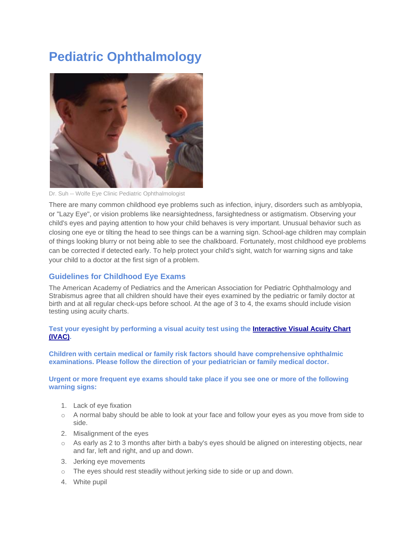# **Pediatric Ophthalmology**



Dr. Suh -- Wolfe Eye Clinic Pediatric Ophthalmologist

There are many common childhood eye problems such as infection, injury, disorders such as amblyopia, or "Lazy Eye", or vision problems like nearsightedness, farsightedness or astigmatism. Observing your child's eyes and paying attention to how your child behaves is very important. Unusual behavior such as closing one eye or tilting the head to see things can be a warning sign. School-age children may complain of things looking blurry or not being able to see the chalkboard. Fortunately, most childhood eye problems can be corrected if detected early. To help protect your child's sight, watch for warning signs and take your child to a doctor at the first sign of a problem.

### **Guidelines for Childhood Eye Exams**

The American Academy of Pediatrics and the American Association for Pediatric Ophthalmology and Strabismus agree that all children should have their eyes examined by the pediatric or family doctor at birth and at all regular check-ups before school. At the age of 3 to 4, the exams should include vision testing using acuity charts.

#### **Test your eyesight by performing a visual acuity test using the [Interactive Visual Acuity Chart](http://www.smbs.buffalo.edu/oph/ped/IVAC/IVAC.html)  [\(IVAC\).](http://www.smbs.buffalo.edu/oph/ped/IVAC/IVAC.html)**

**Children with certain medical or family risk factors should have comprehensive ophthalmic examinations. Please follow the direction of your pediatrician or family medical doctor.**

**Urgent or more frequent eye exams should take place if you see one or more of the following warning signs:**

- 1. Lack of eye fixation
- o A normal baby should be able to look at your face and follow your eyes as you move from side to side.
- 2. Misalignment of the eyes
- $\circ$  As early as 2 to 3 months after birth a baby's eyes should be aligned on interesting objects, near and far, left and right, and up and down.
- 3. Jerking eye movements
- o The eyes should rest steadily without jerking side to side or up and down.
- 4. White pupil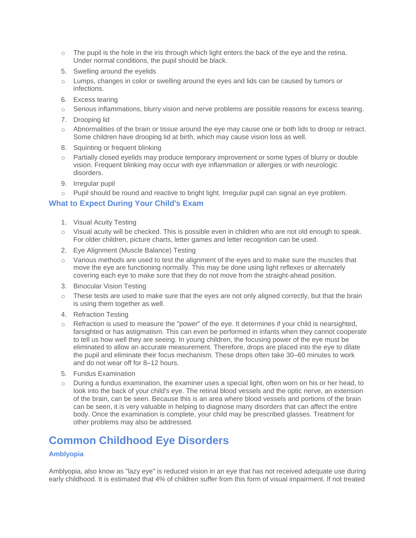- $\circ$  The pupil is the hole in the iris through which light enters the back of the eye and the retina. Under normal conditions, the pupil should be black.
- 5. Swelling around the eyelids
- o Lumps, changes in color or swelling around the eyes and lids can be caused by tumors or infections.
- 6. Excess tearing
- o Serious inflammations, blurry vision and nerve problems are possible reasons for excess tearing.
- 7. Drooping lid
- o Abnormalities of the brain or tissue around the eye may cause one or both lids to droop or retract. Some children have drooping lid at birth, which may cause vision loss as well.
- 8. Squinting or frequent blinking
- o Partially closed eyelids may produce temporary improvement or some types of blurry or double vision. Frequent blinking may occur with eye inflammation or allergies or with neurologic disorders.
- 9. Irregular pupil
- o Pupil should be round and reactive to bright light. Irregular pupil can signal an eye problem.

#### **What to Expect During Your Child's Exam**

- 1. Visual Acuity Testing
- o Visual acuity will be checked. This is possible even in children who are not old enough to speak. For older children, picture charts, letter games and letter recognition can be used.
- 2. Eye Alignment (Muscle Balance) Testing
- $\circ$  Various methods are used to test the alignment of the eyes and to make sure the muscles that move the eye are functioning normally. This may be done using light reflexes or alternately covering each eye to make sure that they do not move from the straight-ahead position.
- 3. Binocular Vision Testing
- $\circ$  These tests are used to make sure that the eyes are not only aligned correctly, but that the brain is using them together as well.
- 4. Refraction Testing
- o Refraction is used to measure the "power" of the eye. It determines if your child is nearsighted, farsighted or has astigmatism. This can even be performed in infants when they cannot cooperate to tell us how well they are seeing. In young children, the focusing power of the eye must be eliminated to allow an accurate measurement. Therefore, drops are placed into the eye to dilate the pupil and eliminate their focus mechanism. These drops often take 30–60 minutes to work and do not wear off for 8–12 hours.
- 5. Fundus Examination
- $\circ$  During a fundus examination, the examiner uses a special light, often worn on his or her head, to look into the back of your child's eye. The retinal blood vessels and the optic nerve, an extension of the brain, can be seen. Because this is an area where blood vessels and portions of the brain can be seen, it is very valuable in helping to diagnose many disorders that can affect the entire body. Once the examination is complete, your child may be prescribed glasses. Treatment for other problems may also be addressed.

# **Common Childhood Eye Disorders**

#### **Amblyopia**

Amblyopia, also know as "lazy eye" is reduced vision in an eye that has not received adequate use during early childhood. It is estimated that 4% of children suffer from this form of visual impairment. If not treated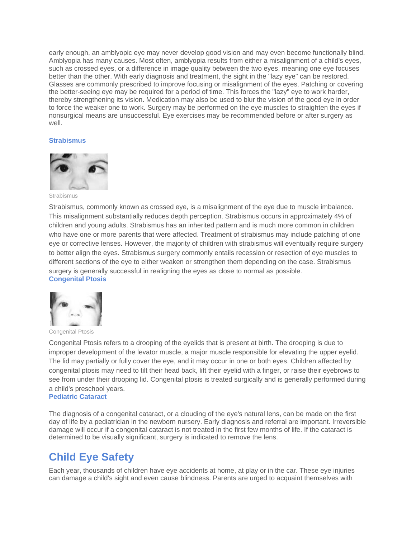early enough, an amblyopic eye may never develop good vision and may even become functionally blind. Amblyopia has many causes. Most often, amblyopia results from either a misalignment of a child's eyes, such as crossed eyes, or a difference in image quality between the two eyes, meaning one eye focuses better than the other. With early diagnosis and treatment, the sight in the "lazy eye" can be restored. Glasses are commonly prescribed to improve focusing or misalignment of the eyes. Patching or covering the better-seeing eye may be required for a period of time. This forces the "lazy" eye to work harder, thereby strengthening its vision. Medication may also be used to blur the vision of the good eye in order to force the weaker one to work. Surgery may be performed on the eye muscles to straighten the eyes if nonsurgical means are unsuccessful. Eye exercises may be recommended before or after surgery as well

#### **Strabismus**



Strabismus

Strabismus, commonly known as crossed eye, is a misalignment of the eye due to muscle imbalance. This misalignment substantially reduces depth perception. Strabismus occurs in approximately 4% of children and young adults. Strabismus has an inherited pattern and is much more common in children who have one or more parents that were affected. Treatment of strabismus may include patching of one eye or corrective lenses. However, the majority of children with strabismus will eventually require surgery to better align the eyes. Strabismus surgery commonly entails recession or resection of eye muscles to different sections of the eye to either weaken or strengthen them depending on the case. Strabismus surgery is generally successful in realigning the eyes as close to normal as possible. **Congenital Ptosis**



Congenital Ptosis

Congenital Ptosis refers to a drooping of the eyelids that is present at birth. The drooping is due to improper development of the levator muscle, a major muscle responsible for elevating the upper eyelid. The lid may partially or fully cover the eye, and it may occur in one or both eyes. Children affected by congenital ptosis may need to tilt their head back, lift their eyelid with a finger, or raise their eyebrows to see from under their drooping lid. Congenital ptosis is treated surgically and is generally performed during a child's preschool years.

#### **Pediatric Cataract**

The diagnosis of a congenital cataract, or a clouding of the eye's natural lens, can be made on the first day of life by a pediatrician in the newborn nursery. Early diagnosis and referral are important. Irreversible damage will occur if a congenital cataract is not treated in the first few months of life. If the cataract is determined to be visually significant, surgery is indicated to remove the lens.

## **Child Eye Safety**

Each year, thousands of children have eye accidents at home, at play or in the car. These eye injuries can damage a child's sight and even cause blindness. Parents are urged to acquaint themselves with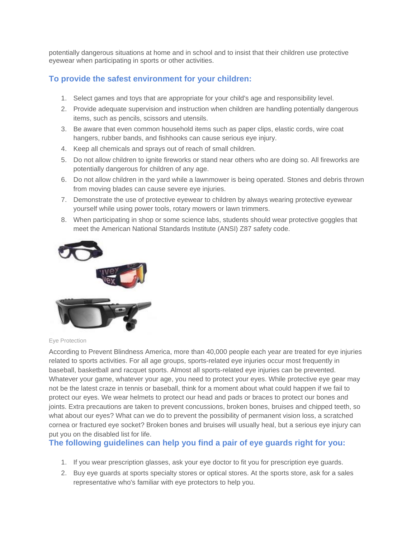potentially dangerous situations at home and in school and to insist that their children use protective eyewear when participating in sports or other activities.

### **To provide the safest environment for your children:**

- 1. Select games and toys that are appropriate for your child's age and responsibility level.
- 2. Provide adequate supervision and instruction when children are handling potentially dangerous items, such as pencils, scissors and utensils.
- 3. Be aware that even common household items such as paper clips, elastic cords, wire coat hangers, rubber bands, and fishhooks can cause serious eye injury.
- 4. Keep all chemicals and sprays out of reach of small children.
- 5. Do not allow children to ignite fireworks or stand near others who are doing so. All fireworks are potentially dangerous for children of any age.
- 6. Do not allow children in the yard while a lawnmower is being operated. Stones and debris thrown from moving blades can cause severe eye injuries.
- 7. Demonstrate the use of protective eyewear to children by always wearing protective eyewear yourself while using power tools, rotary mowers or lawn trimmers.
- 8. When participating in shop or some science labs, students should wear protective goggles that meet the American National Standards Institute (ANSI) Z87 safety code.



Eye Protection

According to Prevent Blindness America, more than 40,000 people each year are treated for eye injuries related to sports activities. For all age groups, sports-related eye injuries occur most frequently in baseball, basketball and racquet sports. Almost all sports-related eye injuries can be prevented. Whatever your game, whatever your age, you need to protect your eyes. While protective eye gear may not be the latest craze in tennis or baseball, think for a moment about what could happen if we fail to protect our eyes. We wear helmets to protect our head and pads or braces to protect our bones and joints. Extra precautions are taken to prevent concussions, broken bones, bruises and chipped teeth, so what about our eyes? What can we do to prevent the possibility of permanent vision loss, a scratched cornea or fractured eye socket? Broken bones and bruises will usually heal, but a serious eye injury can put you on the disabled list for life.

**The following guidelines can help you find a pair of eye guards right for you:**

- 1. If you wear prescription glasses, ask your eye doctor to fit you for prescription eye guards.
- 2. Buy eye guards at sports specialty stores or optical stores. At the sports store, ask for a sales representative who's familiar with eye protectors to help you.